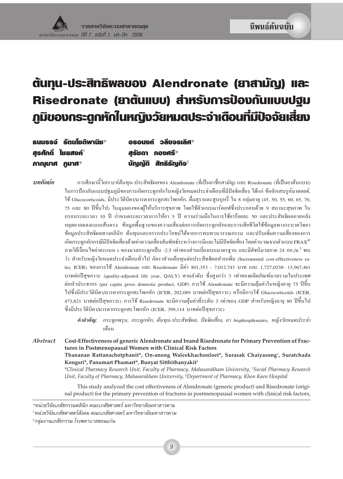# ต้นทุน-ประสิทธิพลของ Alendronate (ยาสามัญ) และ Risedronate (ยาต้นแบบ) สำหรับการป้องกันแบบปฐม ภูมิของกระตูกหักในหญิงวัยหมดประจำเดือนที่มีปัจจัยเสี่ยง

| $su$ uss $\dot{\mathbf{5}}$ sculiba with $*$ | อรอนงค์ วลีขจรเลิศ $^{\ast}$ |
|----------------------------------------------|------------------------------|
| สุรศักดิ์ ไมยสงค์ $^\dagger$                 | สรัชดา กองศรี*               |
| ภาณฺมาศ ภูมาศ*                               | บัญญัติ <b>สิทธิรัญกิจ</b> ‡ |

าเทคัดย่อ

การศึกษานี้วิเคราะห์ต้นทุน-ประสิทธิผลของ Alendronate (ที่เป็นยาชื่อสามัญ) และ Risedronate (ที่เป็นยาต้นแบบ) ในการป้องกันแบบปฐมภูมิของการเกิดกระดูกหักในหญิงวัยหมดประจำเดือนที่มีปัจจัยเสี่ยง ได้แก่ ข้ออักเสบรูห์มาตอยด์, ใช้ Glucocorticoids, มีประวัติบิดา/มารดากระดูกสะโพกหัก, คื่มสุราและสูบบุหรี่ ใน 8 กลุ่มอายุ (45, 50, 55, 60, 65, 70, 75 และ 80 ปีขึ้นไป) ในมุมมองของผู้ให้บริการสุขภาพ โดยใช้ตัวแบบมาร์คอฟซึ่งประกอบด้วย 9 สถานะสุขภาพ ใน กรอบระยะเวลา 10 ปี กำหนดระยะเวลาการให้ยา 5 ปี ความร่วมมือในการใช้ยาร้อยละ 50 และประสิทธิผลภายหลัง หยุดยาลคลงแบบเส้นตรง ข้อมูลพื้นฐานของความเสี่ยงต่อการเกิดกระดูกหักและการเสียชีวิตใช้ข้อมูลทางระบาดวิทยา ข้อมูลประสิทธิผลทางคลินิก ต้นทุนและอรรถประโยชน์ได้จากการทบทวนวรรณกรรม และปรับเพิ่มความเสี่ยงของการ เกิดกระดูกหักกรณีมีปัจจัยเสี่ยงด้วยค่าความเสี่ยงสัมพัทธ์ระหว่างการมีและไม่มีปัจจัยเสี่ยง โดยคำนวณจากตัวแบบ FRAX® ภายใต้เงื่อนใบค่าคะแนน t ของมวลกระดูกเป็น -2.5 เท่าของส่วนเบี่ยงเบนมาตรฐาน และมีดัชนีมวลกาย 24 กก./ม.<sup>2</sup> พบ ว่า สำหรับหญิงวัยหมดประจำเดือนทั่วไป อัตราส่วนต้นทุนต่อประสิทธิผลส่วนเพิ่ม (Incremental cost-effectiveness ratio, ICER) ของการใช้ Alendronate และ Risedronate มีค่า 801,353 - 7,012,743 บาท และ 1,727,0238- 13,967,461 บาทต่อปีสุขภาวะ (quality-adjusted life year, QALY) ตามลำดับ ซึ่งสูงกว่า 3 เท่าของผลิตภัณฑ์มวลรวมในประเทศ ต่อหัวประชากร (per capita gross domestic product, GDP) การใช้ Alendronate จะมีความคุ้มค่าในหญิงอายุ 75 ปีขึ้น ไปซึ่งมีประวัติบิดา/มารดากระดูกสะโพกหัก (ICER, 202,089 บาทต่อปีสุขภาวะ) หรือมีการใช้ Glucocorticoids (ICER, 473,821 บาทต่อปีสุขภาวะ) การใช้ Risedronate จะมีความคุ้มค่าที่ระดับ 3 เท่าของ GDP สำหรับหญิงอายุ 80 ปีขึ้นไป ซึ่งมีประวัติบิดา/มารดากระดูกสะโพกหัก (ICER, 399,114 บาทต่อปีสุขภาวะ)

คำสำคัญ: กระดูกพรุน, กระดูกหัก, ต้นทุน-ประสิทธิผล, ปัจจัยเสี่ยง, ยา bisphosphonates, หญิงวัยหมดประจำ เคือน

**Abstract** Cost-Effectiveness of generic Alendronate and brand Risedronate for Primary Prevention of Fractures in Postmenopausal Women with Clinical Risk Factors Thananan Rattanachotphanit\*, On-anong Waleekhachonloet\*, Surasak Chaiyasong†, Suratchada Kongsri\*, Panumart Phumart\*, Bunyat Sitthithanyakit<sup>‡</sup> \*Clinical Pharmacy Research Unit, Faculty of Pharmacy, Mahasarakham University, †Social Pharmacy Research Unit, Faculty of Pharmacy, Mahasarakham University, <sup>‡</sup>Department of Pharmacy, Khon Kaen Hospital

> This study analyzed the cost effectiveness of Alendronate (generic product) and Risedronate (original product) for the primary prevention of fractures in postmenopausal women with clinical risk factors,

ำหน่วยวิจัยเภสัชศาสตร์สังคม คณะเภสัชศาสตร์ มหาวิทยาลัยมหาสารคาม

<sup>\*</sup>หน่วยวิจัยเภสัชกรรมคลินิก คณะเภสัชศาสตร์ มหาวิทยาลัยมหาสารคาม

<sup>\*</sup>กลุ่มงานเภสัชกรรม โรงพยาบาลขอนแก่น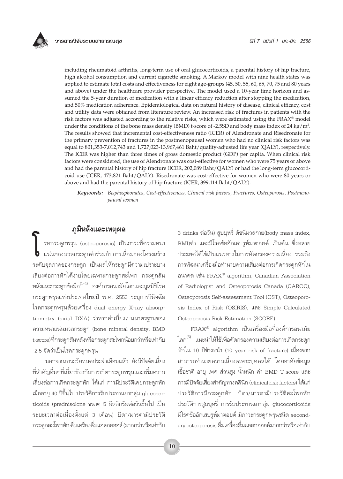including rheumatoid arthritis, long-term use of oral glucocorticoids, a parental history of hip fracture, high alcohol consumption and current cigarette smoking. A Markov model with nine health states was applied to estimate total costs and effectiveness for eight age-groups (45, 50, 55, 60, 65, 70, 75 and 80 years and above) under the healthcare provider perspective. The model used a 10-year time horizon and assumed the 5-year duration of medication with a linear efficacy reduction after stopping the medication, and 50% medication adherence. Epidemiological data on natural history of disease, clinical efficacy, cost and utility data were obtained from literature review. An increased risk of fractures in patients with the risk factors was adjusted according to the relative risks, which were estimated using the FRAX® model under the conditions of the bone mass density (BMD) t-score of -2.5SD and body mass index of 24 kg/m<sup>2</sup>. The results showed that incremental cost-effectiveness ratio (ICER) of Alendronate and Risedronate for the primary prevention of fractures in the postmenopausal women who had no clinical risk factors was equal to 801,353-7,012,743 and 1,727,023-13,967,461 Baht/quality-adjusted life year (QALY), respectively. The ICER was higher than three times of gross domestic product (GDP) per capita. When clinical risk factors were considered, the use of Alendronate was cost-effective for women who were 75 years or above and had the parental history of hip fracture (ICER, 202,089 Baht/QALY) or had the long-term glucocorticoid use (ICER, 473,821 Baht/QALY). Risedronate was cost-effective for women who were 80 years or above and had the parental history of hip fracture (ICER, 399,114 Baht/QALY).

Keywords: Bisphosphonates, Cost-effectiveness, Clinical risk factors, Fractures, Osteoporosis, Postmenopausal women

## ภูมิหลังและเหตุผล

รคกระดูกพรุน (osteoporosis) เป็นภาวะที่ความหนา ) แน่นของมวลกระดูกต่ำร่วมกับการเสื่อมของโครงสร้าง ระดับจุลภาคของกระดูก เป็นผลให้กระดูกมีความเปราะบาง เสี่ยงต่อการหักได้ง่ายโดยเฉพาะกระดูกสะโพก กระดูกสัน หลังและกระดูกข้อมือ<sup>(1-4)</sup> องค์การอนามัยโลกและมูลนิธิโรค กระดูกพรุนแห่งประเทศไทยปี พ.ศ. 2553 ระบุการวินิจฉัย โรคกระดูกพรุนด้วยเครื่อง dual energy X-ray absorptiometry (axial DXA) ว่าหากค่าเบี่ยงเบนมาตรฐานของ ความหนาแน่นมวลกระดูก (bone mineral density, BMD t-score)ที่กระดูกสันหลังหรือกระดูกสะโพกน้อยกว่าหรือเท่ากับ -2.5 จัดว่าเป็นโรคกระดูกพรุน

นอกจากภาวะวัยหมดประจำเดือนแล้ว ยังมีปัจจัยเสี่ยง ที่สำคัญอื่นๆที่เกี่ยวข้องกับการเกิดกระดูกพรุนและเพิ่มความ เสี่ยงต่อการเกิดกระดูกหัก ได้แก่ การมีประวัติเคยกระดูกหัก เมื่ออายุ 40 ปีขึ้นไป ประวัติการรับประทานยากลุ่ม glucocorticoids (prednisolone ขนาด 5 มิลลิกรัมต่อวันขึ้นไป เป็น ้ระยะเวลาต่อเนื่องตั้งแต่ 3 เดือน) บิดา/มารดามีประวัติ ้กระดูกสะโพกหัก ดื่มเครื่องดื่มแอลกอฮอล์ (มากกว่าหรือเท่ากับ 3 drinks ต่อวัน) สูบบุหรี่ ดัชนีมวลกาย(body mass index, BMI)ต่ำ และมีโรคข้ออักเสบรูห์มาตอยด์ เป็นต้น ซึ่งหลาย ประเทศได้ใช้เป็นแนวทางในการคัดกรองความเสี่ยง รวมถึง การพัฒนาเครื่องมือทำนายความเสี่ยงต่อการเกิดกระดูกหักใน อนาคต เช่น FRAX® algorithm, Canadian Association of Radiologist and Osteoporosis Canada (CAROC), Osteoporosis Self-assessment Tool (OST), Osteoporosis Index of Risk (OSIRIS), และ Simple Calculated Osteoporosis Risk Estimation (SCORE)

 $\text{FRAX}^{\circledast}$  algorithm เป็นเครื่องมือที่องค์การอนามัย โลก<sup>(5)</sup> แนะนำให้ใช้เพื่อคัดกรองความเสี่ยงต่อการเกิดกระดูก หักใน 10 ปีข้างหน้า (10 year risk of fracture) เนื่องจาก สามารถทำนายความเสี่ยงเฉพาะบุคคลได้ โดยอาศัยข้อมูล เชื้อชาติ อายุ เพศ ส่วนสูง น้ำหนัก ค่า BMD T-score และ การมีปัจจัยเสี่ยงสำคัญทางคลินิก (clinical risk factors) ได้แก่ ประวัติการมีกระดูกหัก บิดา/มารดามีประวัติสะโพกหัก ประวัติการสูบบุหรี่ การรับประทานยากลุ่ม glucocorticoids มีโรคข้ออักเสบรูห์มาตอยด์ มีภาวะกระดูกพรุนชนิด secondary osteoporosis ดื่มเครื่องดื่มแอลกอฮอล์มากกว่าหรือเท่ากับ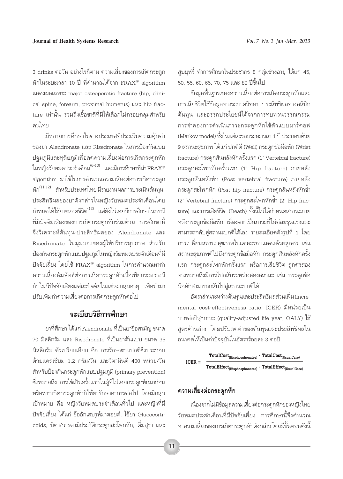3 drinks ต่อวัน อย่างไรก็ตาม ความเสี่ยงของการเกิดกระดูก ห้กในระยะเวลา 10 ปี ที่คำนวณได้จาก FRAX® algorithm แสดงผลเฉพาะ major osteoporotic fracture (hip. clinical spine, forearm, proximal humerus) และ hip fracture เท่านั้น รวมถึงเชื้อชาติที่มีให้เลือกไม่ครอบคลุมสำหรับ คนไทย

มีหลายการศึกษาในต่างประเทศที่ประเมินความค้มค่า ของยา Alendronate และ Risedronate ในการป้องกันแบบ ปจุมภูมิและทุติยภูมิเพื่อลดความเสี่ยงต่อการเกิดกระดูกหัก ในหญิงวัยหมดประจำเดือน $^{(6\text{-}10)}$  และมีการศึกษาที่นำ $\text{FRAX}^{\circledast}$ algorithm มาใช้ในการคำนวณความเสี่ยงต่อการเกิดกระดูก หัก<sup>(11,12)</sup> สำหรับประเทศไทย มีรายงานผลการประเมินต้นทุน-ประสิทธิผลของยาดังกล่าวในหญิงวัยหมดประจำเดือนโดย กำหนดให้ใช้ยาตลอดชีวิต<sup>(13)</sup> แต่ยังไม่เคยมีการศึกษาในกรณี ที่มีปัจจัยเสี่ยงของการเกิดกระดูกหักร่วมด้วย การศึกษานี้ จึงวิเคราะห์ต้นทุน-ประสิทธิผลของ Alendronate และ Risedronate ในมุมมองของผู้ให้บริการสุขภาพ สำหรับ ป้องกันกระดูกหักแบบปฐมภูมิในหญิงวัยหมดประจำเดือนที่มี ปัจจัยเสี่ยง โดยใช้ FRAX® algorithm ในการคำนวณหาค่า ความเสี่ยงสัมพัทธ์ต่อการเกิดกระดูกหักเมื่อเทียบระหว่างมี ้กับไม่มีปัจจัยเสี่ยงแต่ละปัจจัยในแต่ละกลุ่มอายุ เพื่อนำมา ปรับเพิ่มค่าความเสี่ยงต่อการเกิดกระดกหักต่อไป

## ระเบียบวิธีการศึกษา

ยาที่ศึกษา ได้แก่ Alendronate ที่เป็นยาชื่อสามัณ ขนาด 70 มิลลิกรัม และ Risedronate ที่เป็นยาต้นแบบ ขนาด 35 มิลลิกรัม ตัวเปรียบเทียบ คือ การรักษาตามปกติซึ่งประกอบ ด้วยแคลเซียม 1.2 กรัม/วัน และวิตามินดี 400 หน่วย/วัน สำหรับป้องกันกระดูกหักแบบปฐมภูมิ (primary prevention) ซึ่งหมายถึง การใช้เป็นครั้งแรกในผู้ที่ไม่เคยกระดูกหักมาก่อน หรือหากเกิดกระดูกหักก็ให้ยารักษาอาการต่อไป โดยมีกลุ่ม เป้าหมาย คือ หญิงวัยหมดประจำเดือนทั่วไป และหญิงที่มี ปัจจัยเสี่ยง ได้แก่ ข้ออักเสบรูห์มาตอยด์, ใช้ยา Glucocorticoids, บิดา/มารดามีประวัติกระดูกสะโพกหัก, ดื่มสุรา และ สูบบุหรี่ ทำการศึกษาในประชากร 8 กลุ่มช่วงอายุ ได้แก่ 45, 50, 55, 60, 65, 70, 75 และ 80 ปีขึ้นไป

ข้อมูลพื้นจานของความเสี่ยงต่อการเกิดกระดูกหักและ การเสียชีวิตใช้ข้อมูลทางระบาดวิทยา ประสิทธิผลทางคลินิก ต้นทุน และอรรถประโยชน์ได้จากการทบทวนวรรณกรรม การจำลองการดำเนินภาวะกระดูกหักใช้ตัวแบบมาร์คอฟ (Markov model) ซึ่งในแต่ละรอบระยะเวลา 1 ปี ประกอบด้วย 9 สถานะสุขภาพ ได้แก่ ปกติดี (Well) กระดูกข้อมือหัก (Wrist fracture) กระดูกสันหลังหักครั้งแรก (1' Vertebral fracture) กระดูกสะโพกหักครั้งแรก (1' Hip fracture) ภายหลัง กระดูกสันหลังหัก (Post vertebral fracture) ภายหลัง กระดูกสะโพกหัก (Post hip fracture) กระดูกสันหลังหักซ้ำ (2' Vertebral fracture) กระดูกสะโพกหักซ้ำ (2' Hip fracture) และการเสียชีวิต (Death) ทั้งนี้ไม่ได้กำหนดสถานะภาย หลังกระดูกข้อมือหัก เนื่องจากเป็นภาวะที่ไม่ค่อยรุนแรงและ ้สามารถกลับสู่สถานะปกติได้เอง รายละเอียดดังรูปที่ 1 โดย การเปลี่ยนสถานะสุขภาพในแต่ละรอบแสดงด้วยลูกศร เช่น สถานะสุขภาพดีไปยังกระดูกข้อมือหัก กระดูกสันหลังหักครั้ง แรก กระดูกสะโพกหักครั้งแรก หรือการเสียชีวิต ลูกศรสอง ทางหมายถึงมีการไปกลับระหว่างสองสถานะ เช่น กระดูกข้อ มือหักสามารถกลับไปสู่สถานะปกติได้

อัตราส่วนระหว่างต้นทุนและประสิทธิผลส่วนเพิ่ม (incremental cost-effectiveness ratio, ICER) มีหน่วยเป็น บาทต่อปีสุขภาวะ (quality-adjusted life year, OALY) ใช้ ิสูตรด้านล่าง โดยปรับลดค่าของต้นทุนและประสิทธิผลใน อนาคตให้เป็นค่าปัจจุบันในอัตราร้อยละ 3 ต่อปี



## ความเสี่ยงต่อกระดูกหัก

เนื่องจากไม่มีข้อมูลความเสี่ยงต่อกระดูกหักของหญิงไทย ้วัยหมดประจำเดือนที่มีปัจจัยเสี่ยง การศึกษานี้จึงคำนวณ หาความเสี่ยงของการเกิดกระดูกหักดังกล่าว โดยมีขั้นตอนดังนี้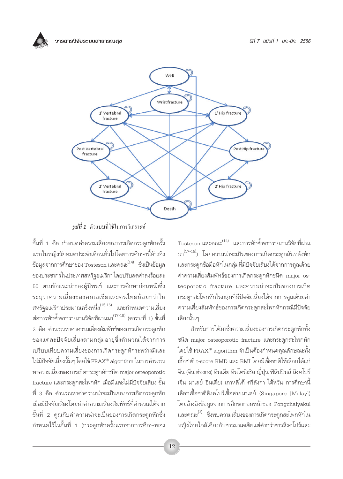



**รูปที่ 1** ตัวแบบที่ใช้ในการวิเคราะห์

ขั้นที่ 1 คือ กำหนดค่าความเสี่ยงของการเกิดกระดูกหักครั้ง แรกในหญิงวัยหมดประจำเดือนทั่วไปโดยการศึกษานี้อ้างอิง ข้อมูลจากการศึกษาของ Tosteson และคณะ<sup>(14)</sup> ซึ่งเป็นข้อมูล ของประชากรในประเทศสหรัฐอเมริกา โดยปรับลดค่าลงร้อยละ 50 ตามข้อแนะนำของผู้นิพนธ์ และการศึกษาก่อนหน้าซึ่ง ระบุว่าความเสี่ยงของคนเอเชียและคนไทยน้อยกว่าใน สหรัฐอเมริกาประมาณครึ่งหนึ่ง<sup>(15,16)</sup> และกำหนดความเสี่ยง ี่ต่อการหักซ้ำจากรายงานวิจัยที่ผ่านมา<sup>(17-19)</sup> (ตารางที่ 1) ขั้นที่ ่ 2 คือ คำนวณหาค่าความเสี่ยงสัมพัทธ์ของการเกิดกระดูกหัก ของแต่ละปัจจัยเสี่ยงตามกลุ่มอายุซึ่งคำนวณได้จากการ <u>เปรียบเทียบความเสี่ยงของการเกิดกระดูกหักระหว่างมีและ</u> ไม่มีปัจจัยเสี่ยงนั้นๆ โดยใช้ FRAX® algorithm ในการคำนวณ หาความเสี่ยงของการเกิดกระดูกหักชนิด major osteoporotic fracture และกระดูกสะโพกหัก เมื่อมีและไม่มีปัจจัยเสี่ยง ขั้น ู้ที่ 3 คือ คำนวณหาค่าความน่าจะเป็นของการเกิดกระดูกหัก เมื่อมีปัจจัยเสี่ยงโดยนำค่าความเสี่ยงสัมพัทธ์ที่คำนวณได้จาก ขั้นที่ 2 คุณกับค่าความน่าจะเป็นของการเกิดกระดูกหักซึ่ง กำหนดไว้ในขั้นที่ 1 (กระดูกหักครั้งแรกจากการศึกษาของ

Tosteson และคณะ<sup>(14)</sup> และการหักซ้ำจากรายงานวิจัยที่ผ่าน มา<sup>(17-19)</sup>) โดยความน่าจะเป็นของการเกิดกระดูกสันหลังหัก ้ และกระดูกข้อมือหักในกลุ่มที่มีปัจจัยเสี่ยงได้จากการคูณด้วย ้ค่าความเสี่ยงสัมพัทธ์ของการเกิดกระดกหักชนิด major osteoporotic fracture และความน่าจะเป็นของการเกิด กระดูกสะโพกหักในกลุ่มที่มีปัจจัยเสี่ยงได้จากการคูณด้วยค่า ิ ความเสี่ยงสัมพัทธ์ของการเกิดกระดูกสะโพกหักกรณีมีปัจจัย เสี่ยงนั้นๆ

สำหรับการได้มาซึ่งความเสี่ยงของการเกิดกระดูกหักทั้ง ชนิด major osteoporotic fracture และกระดูกสะโพกหัก โดยใช้  $\text{FRAX}^{\circledast}$  algorithm จำเป็นต้องกำหนดคุณลักษณะทั้ง เชื้อชาติ t-score BMD และ BMI โดยมีเชื้อชาติให้เลือกได้แก่ จีน (จีน ฮ่องกง) อินเดีย อินโดนีเซีย ญี่ปุ่น ฟิลิปปินส์ สิงคโปร์ ้ (จีน มาเลย์ อินเดีย) เกาหลีใต้ ศรีลังกา ไต้หวัน การศึกษานี้ เลือกเชื้อชาติสิงคโปร์เชื้อสายมาเลย์ (Singapore [Malay]) โดยอ้างอิงข้อมูลจากการศึกษาก่อนหน้าของ Pongchaiyakul และคณะ<sup>(3)</sup> ซึ่งพบความเสี่ยงของการเกิดกระดูกสะโพกหักใน หญิงไทยใกล้เคียงกับชาวมาเลเซียแต่ต่ำกว่าชาวสิงคโปร์และ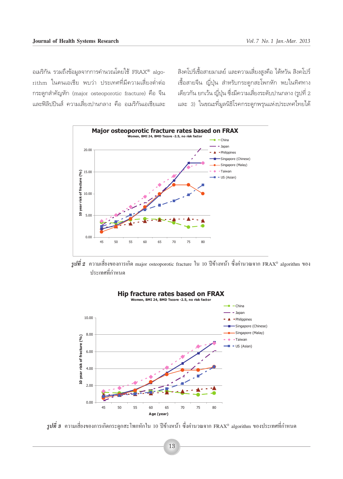ือเมริกัน รวมถึงข้อมูลจากการคำนวณโดยใช้  $\text{FRAX}^{\circledast}$  algorithm ในคนเอเชีย พบว่า ประเทศที่มีความเสี่ยงต่ำต่อ กระดูกสำคัญหัก (major osteoporotic fracture) คือ จีน และฟิลิปปินส์ ความเสี่ยงปานกลาง คือ อเมริกันเอเชียและ

ี สิงคโปร์เชื้อสายมาเลย์ และความเสี่ยงสูงคือ ไต้หวัน สิงคโปร์ ู้ เชื้อสายจีน ญี่ปุ่น สำหรับกระดูกสะโพกหัก พบในทิศทาง ี เดียวกัน ยกเว้น ญี่ปุ่น ซึ่งมีความเสี่ยงระดับปานกลาง (รูปที่ 2 ·≈– 3) "π¢≥–∑'Ë¡Ÿ≈π'∏''√§°√–¥Ÿ°æ√ÿπ·Ààߪ√–‡∑»‰∑¬‰¥â



 $\,$  $\tilde{j}$ ปที่ 2 ความเสี่ยงของการเกิด major osteoporotic fracture ใน 10 ปีข้างหน้า ซึ่งคำนวณจาก FRAX® algorithm ของ ประเทศที่กำหนด



 $\,$ *รูปที่ 3* ความเสี่ยงของการเกิดกระดูกสะโพกหักใน 10 ปีข้างหน้า ซึ่งคำนวณจาก FRAX® algorithm ของประเทศที่กำหนด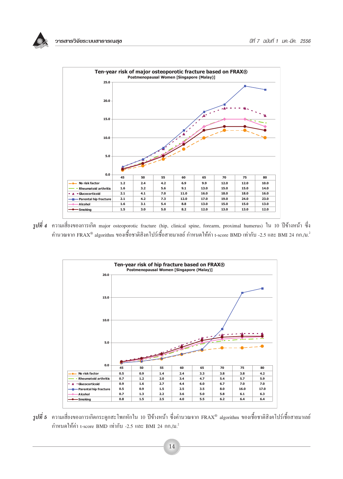

 $\,$  $j$ ปที่ 4 ความเสี่ยงของการเกิด major osteoporotic fracture (hip, clinical spine, forearm, proximal humerus) ใน 10 ปีข้างหน้า ซึ่ง คำนวณจาก FRAX® algorithm ของเชื้อชาติสิงคโปร์เชื้อสายมาเลย์ กำหนดให้ค่า t-score BMD เท่ากับ -2.5 และ BMI 24 กก./ม.<sup>2</sup>



 $\,$ *รูปที่ 5* ความเสี่ยงของการเกิดกระดูกสะโพกหักใน 10 ปีข้างหน้า ซึ่งคำนวณจาก FRAX® algorithm ของเชื้อชาติสิงคโปร์เชื้อสายมาเลย์ กำหนดให้ค่า t-score BMD เท่ากับ -2.5 และ BMI 24 กก./ม.<sup>2</sup>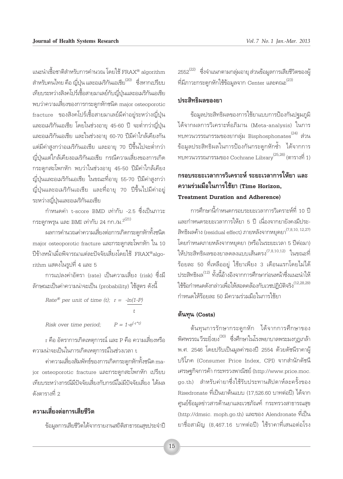แนะนำเชื้อชาติสำหรับการคำนวณ โดยใช้ FRAX® algorithm สำหรับคนไทย คือ ญี่ปุ่น และอเมริกันเอเชีย<sup>(20)</sup> ซึ่งหากเปรียบ เทียบระหว่างสิงคโปร์เชื้อสายมาเลย์กับญี่ป่นและอเมริกันเอเชีย พบว่าความเสี่ยงของการกระดูกหักชนิด major osteoporotic fracture ของสิงคโปร์เชื้อสายมาเลย์มีค่าอยู่ระหว่างญี่ปุ่น และอเมริกันเอเชีย โดยในช่วงอายุ 45-60 ปี จะต่ำกว่าญี่ปุ่น และอเมริกันเอเชีย และในช่วงอาย 60-70 ปีมีค่าใกล้เคียงกัน แต่มีค่าสูงกว่าอเมริกันเอเชีย และอายุ 70 ปีขึ้นไปจะต่ำกว่า ฌี่ป่นแต่ใกล้เคียงอเมริกันเอเชีย กรณีความเสี่ยงของการเกิด กระดูกสะโพกหัก พบว่าในช่วงอายุ 45-50 ปีมีค่าใกล้เคียง ญี่ปุ่นและอเมริกันเอเชีย ในขณะที่อายุ 55-70 ปีมีค่าสูงกว่า ญี่ปุ่นและอเมริกันเอเชีย และที่อายุ 70 ปีขึ้นไปมีค่าอยู่

กำหนดค่า t-score BMD เท่ากับ -2.5 ซึ่งเป็นภาวะ กระดูกพรุน และ BMI เท่ากับ 24 กก./ม. $^{2\left( 21\right) }$ 

ระหว่างญี่ปุ่นและอเมริกันเอเชีย

ผลการคำนวณค่าความเสี่ยงต่อการเกิดกระดูกหักทั้งชนิด major osteoporotic fracture และกระดูกสะโพกหัก ใน 10 ปีข้างหน้าเมื่อพิจารณาแต่ละปัจจัยเสี่ยงโดยใช้ FRAX®algorithm แสดงในรูปที่ 4 และ 5

การแปลงค่าอัตรา (rate) เป็นความเสี่ยง (risk) ซึ่งมี ลักษณะเป็นค่าความน่าจะเป็น (probability) ใช้สูตร ดังนี้

Rate® per unit of time (t);  $r = -\ln(1-P)$  $\ddot{t}$ 

 $P = 1-e^{(-r*t)}$ Risk over time period:

r คือ อัตราการเกิดเหตุการณ์ และ P คือ ความเสี่ยงหรือ ์ ความน่าจะเป็นในการเกิดเหตุการณ์ในช่วงเวลา t

ค่าความเสี่ยงสัมพัทธ์ของการเกิดกระดูกหักทั้งชนิด major osteoporotic fracture และกระดูกสะโพกหัก เปรียบ เทียบระหว่างกรณีมีปัจจัยเสี่ยงกับกรณีไม่มีปัจจัยเสี่ยง ได้ผล ดังตารางที่ 2

## ความเสี่ยงต่อการเสียชีวิต

ข้อมูลการเสียชีวิตได้จากรายงานสถิติสาธารณสุขประจำปี

2552<sup>(22)</sup> ซึ่งจำแนกตามกลุ่มอายุ ส่วนข้อมูลการเสียชีวิตของผู้ ที่มีภาวะกระดูกหักใช้ข้อมูลจาก Center และคณะ<sup>(23)</sup>

#### ประสิทธิผลของยา

ข้อมูลประสิทธิผลของการใช้ยาแบบการป้องกันปฐมภูมิ ได้จากผลการวิเคราะห์อภิมาน (Meta-analysis) ในการ ทบทวนวรรณกรรมของยากลุ่ม Bisphosphonates  $^{(24)}$  ส่วน ข้อมูลประสิทธิผลในการป้องกันกระดูกหักซ้ำ ได้จากการ ทบทวนวรรณกรรมของ Cochrane Library  $^{(25,26)}$  (ตารางที่ 1)

## กรอบระยะเวลาการวิเคราะห์ ระยะเวลาการให้ยา และ ความร่วมมือในการใช้ยา (Time Horizon. **Treatment Duration and Adherence)**

ิการศึกษานี้กำหนดกรอบระยะเวลาการวิเคราะห์ที่ 10 ปี และกำหนดระยะเวลาการให้ยา 5 ปี เนื่องจากยายังคงมีประ-สิทธิผลค้าง (residual effect) ภายหลังจากหยุดยา $^{(7,8,10,\;12,27)}$ โดยกำหนดภายหลังจากหยุดยา (หรือในระยะเวลา 5 ปีต่อมา) ให้ประสิทธิผลของยาลดลงแบบเส้นตรง<sup>(7,8,10,12)</sup> ในขณะที่ ร้อยละ 50 ที่เหลืออยู่ ใช้ยาเพียง 3 เดือนแรกโดยไม่ได้ ประสิทธิผล<sup>(12)</sup> ทั้งนี้อ้างอิงจากการศึกษาก่อนหน้าซึ่งแนะนำให้ ใช้ข้อกำหนดดังกล่าวเพื่อให้สอดคล้องกับเวชปฏิบัติจริง<sup>(12,28,29)</sup> กำหนดให้ร้อยละ 50 มีความร่วมมือในการใช้ยา

#### ต้นทุน (Costs)

ต้นทุนการรักษากระดูกหัก ได้จากการศึกษาของ ้พิศพรรณวีระยิ่งยง<sup>(30)</sup> ซึ่งศึกษาในโรงพยาบาลพระมงกุฏเกล้า พ.ศ. 2546 โดยปรับเป็นมูลค่าของปี 2554 ด้วยดัชนีราคาผู้ บริโภค (Consumer Price Index, CPI) จากสำนักดัชนี เศรษฐกิจการค้า กระทรวงพาณิชย์ (http://www.price.moc. go.th) สำหรับค่ายาซึ่งใช้รับประทานสัปดาห์ละครั้งของ Risedronate ที่เป็นยาต้นแบบ (17,526.60 บาทต่อปี) ได้จาก ศูนย์ข้อมูลข่าวสารด้านยาและเวชภัณฑ์ กระทรวงสาธารณสุข (http://dmsic. moph.go.th) และของ Alendronate ที่เป็น ยาชื่อสามัญ (8,467.16 บาทต่อปี) ใช้ราคาที่เสนอต่อโรง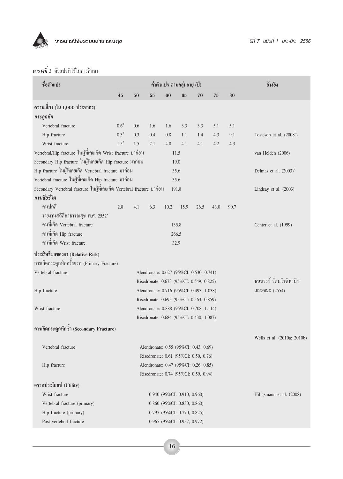

## *ตารางที่ 1* ตัวแปรที่ใช้ในการศึกษา

| ชื่อตัวแปร                                                             |                  |     | ค่าตัวแปร ตามกลุ่มอายุ (ปี) | อ้างอิง                                  |      |      |      |      |                             |  |
|------------------------------------------------------------------------|------------------|-----|-----------------------------|------------------------------------------|------|------|------|------|-----------------------------|--|
|                                                                        | 45               | 50  | 55                          | 60                                       | 65   | 70   | 75   | 80   |                             |  |
| ความเสี่ยง (ใน 1,000 ประชากร)                                          |                  |     |                             |                                          |      |      |      |      |                             |  |
| กระดูกหัก                                                              |                  |     |                             |                                          |      |      |      |      |                             |  |
| Vertebral fracture                                                     | 0.6 <sup>a</sup> | 0.6 | 1.6                         | 1.6                                      | 3.3  | 3.3  | 5.1  | 5.1  |                             |  |
| Hip fracture                                                           | 0.3 <sup>a</sup> | 0.3 | 0.4                         | 0.8                                      | 1.1  | 1.4  | 4.3  | 9.1  | Tosteson et al. $(2008^b)$  |  |
| Wrist fracture                                                         | $1.5^a$          | 1.5 | 2.1                         | 4.0                                      | 4.1  | 4.1  | 4.2  | 4.3  |                             |  |
| Vertebral/Hip fracture ในผู้ที่เคยเกิด Wrist fracture มาก่อน           |                  |     |                             | 11.5                                     |      |      |      |      | van Helden (2006)           |  |
| Secondary Hip fracture ในผู้ที่เคยเกิด Hip fracture มาก่อน             |                  |     |                             | 19.0                                     |      |      |      |      |                             |  |
| Hip fracture ในผู้ที่เคยเกิด Vertebral fracture มาก่อน                 |                  |     |                             | 35.6                                     |      |      |      |      | Delmas et al. $(2003)^{b}$  |  |
| Vertebral fracture ในผู้ที่เคยเกิด Hip fracture มาก่อน                 |                  |     |                             | 35.6                                     |      |      |      |      |                             |  |
| Secondary Vertebral fracture ในผู้ที่เคยเกิด Vertebral fracture มาก่อน |                  |     |                             | 191.8                                    |      |      |      |      | Lindsay et al. (2003)       |  |
| การเสียชีวิต                                                           |                  |     |                             |                                          |      |      |      |      |                             |  |
| คนปกติ                                                                 | 2.8              | 4.1 | 6.3                         | 10.2                                     | 15.9 | 26.5 | 43.0 | 90.7 |                             |  |
| รายงานสถิติสาธารณสุข พ.ศ. 2552 $^{\rm c}$                              |                  |     |                             |                                          |      |      |      |      |                             |  |
| คนที่เกิด Vertebral fracture                                           | 135.8            |     |                             |                                          |      |      |      |      |                             |  |
| คนที่เกิด Hip fracture                                                 |                  |     |                             | 266.5                                    |      |      |      |      |                             |  |
| คนที่เกิด Wrist fracture                                               |                  |     |                             | 32.9                                     |      |      |      |      |                             |  |
| ประสิทธิผลของยา (Relative Risk)                                        |                  |     |                             |                                          |      |      |      |      |                             |  |
| การเกิดกระดูกหักครั้งแรก (Primary Fracture)                            |                  |     |                             |                                          |      |      |      |      |                             |  |
| Vertebral fracture                                                     |                  |     |                             | Alendronate: 0.627 (95%CI: 0.530, 0.741) |      |      |      |      |                             |  |
|                                                                        |                  |     |                             | Risedronate: 0.673 (95%CI: 0.549, 0.825) |      |      |      |      | ธนนรรจ์ รัตนโชติพานิช       |  |
| Hip fracture                                                           |                  |     |                             | Alendronate: 0.716 (95%CI: 0.493, 1.038) |      |      |      |      | $\text{max}$ (2554)         |  |
|                                                                        |                  |     |                             | Risedronate: 0.695 (95%CI: 0.563, 0.859) |      |      |      |      |                             |  |
| Wrist fracture                                                         |                  |     |                             | Alendronate: 0.888 (95%CI: 0.708, 1.114) |      |      |      |      |                             |  |
|                                                                        |                  |     |                             | Risedronate: 0.684 (95%CI: 0.430, 1.087) |      |      |      |      |                             |  |
| การเกิดกระดูกหักซำ (Secondary Fracture)                                |                  |     |                             |                                          |      |      |      |      |                             |  |
|                                                                        |                  |     |                             |                                          |      |      |      |      | Wells et al. (2010a; 2010b) |  |
| Vertebral fracture                                                     |                  |     |                             | Alendronate: 0.55 (95%CI: 0.43, 0.69)    |      |      |      |      |                             |  |
|                                                                        |                  |     |                             | Risedronate: 0.61 (95%CI: 0.50, 0.76)    |      |      |      |      |                             |  |
| Hip fracture                                                           |                  |     |                             | Alendronate: 0.47 (95%CI: 0.26, 0.85)    |      |      |      |      |                             |  |
|                                                                        |                  |     |                             | Risedronate: 0.74 (95%CI: 0.59, 0.94)    |      |      |      |      |                             |  |
| อรรถประโยชน์ (Utility)                                                 |                  |     |                             |                                          |      |      |      |      |                             |  |
| Wrist fracture                                                         |                  |     |                             | $0.940$ (95%CI: 0.910, 0.960)            |      |      |      |      | Hiligsmann et al. (2008)    |  |
| Vertebral fracture (primary)                                           |                  |     |                             | 0.860 (95%CI: 0.830, 0.860)              |      |      |      |      |                             |  |
| Hip fracture (primary)                                                 |                  |     |                             | 0.797 (95%CI: 0.770, 0.825)              |      |      |      |      |                             |  |
| Post vertebral fracture                                                |                  |     |                             | 0.965 (95%CI: 0.957, 0.972)              |      |      |      |      |                             |  |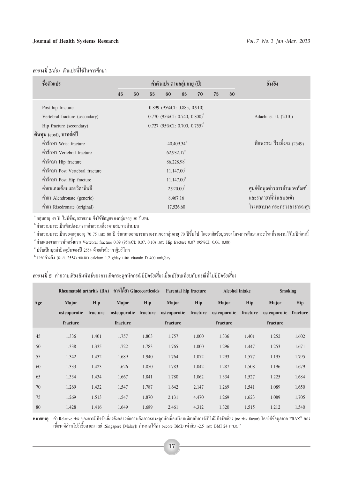#### ี **ตารางที่ 1**(ต่อ) ตัวแปรที่ใช้ในการศึกษา

| ชื่อตัวแปร                       | ค่าตัวแปร ตามกลุ่มอายุ (ปี) |    |    |                        |                                            |    |    |    | อ้างอิง                        |  |  |  |
|----------------------------------|-----------------------------|----|----|------------------------|--------------------------------------------|----|----|----|--------------------------------|--|--|--|
|                                  | 45                          | 50 | 55 | 60                     | 65                                         | 70 | 75 | 80 |                                |  |  |  |
| Post hip fracture                |                             |    |    |                        | 0.899 (95%CI: 0.885, 0.910)                |    |    |    |                                |  |  |  |
| Vertebral fracture (secondary)   |                             |    |    |                        | $0.770$ (95%CI: 0.740, 0.800) <sup>d</sup> |    |    |    | Adachi et al. (2010)           |  |  |  |
| Hip fracture (secondary)         |                             |    |    |                        | $0.727$ (95%CI: 0.700, 0.755) <sup>d</sup> |    |    |    |                                |  |  |  |
| ต้นทุน (cost), บาทต่อปี          |                             |    |    |                        |                                            |    |    |    |                                |  |  |  |
| ค่ำรักษา Wrist fracture          | $40,409.34^e$               |    |    |                        |                                            |    |    |    | พิศพรรณ วีระยิ่งยง (2549)      |  |  |  |
| ค่ารักษา Vertebral fracture      |                             |    |    | $62,932.17^e$          |                                            |    |    |    |                                |  |  |  |
| ค่ำรักษา Hip fracture            |                             |    |    | 86,228.98 <sup>e</sup> |                                            |    |    |    |                                |  |  |  |
| ค่ำรักษา Post Vertebral fracture |                             |    |    | $11,147.00^e$          |                                            |    |    |    |                                |  |  |  |
| ค่ารักษา Post Hip fracture       |                             |    |    |                        |                                            |    |    |    |                                |  |  |  |
| ค่ายาแคลเซียมและวิตามินดี        | 2,920.00 <sup>f</sup>       |    |    |                        |                                            |    |    |    | ศูนย์ข้อมูลข่าวสารค้านเวชภัณฑ์ |  |  |  |
| ค่ายา Alendronate (generic)      | 8,467.16                    |    |    |                        |                                            |    |    |    | และราคายาที่นำเสนอเข้า         |  |  |  |
| ค่ายา Risedronate (original)     |                             |    |    |                        | โรงพยาบาล กระทรวงสาธารณสุข                 |    |    |    |                                |  |  |  |
|                                  |                             |    |    |                        |                                            |    |    |    |                                |  |  |  |

<sup>ล</sup>ำกลุ่มอายุ 45 ปี ไม่มีข้อมูลรายงาน จึงใช้ข้อมูลของกลุ่มอายุ 50 ปีแทน

<sup>ь</sup> ค่าความน่าจะเป็นที่แปลงมาจากค่าความเสี่ยงตามสมการด้านบน

"ค่าความน่าจะเป็นของกลุ่มอายุ 70 75 และ 80 ปี จำแนกออกมาจากรายงานของกลุ่มอายุ 70 ปีขึ้นไป โดยอาศัยข้อมูลของโครงการศึกษาภาระโรคที่รายงานไว้ในปีก่อนนี้

<sup>4</sup>ค่าลดลงจากการหักครั้งแรก Vertebral fracture 0.09 (95%CI: 0.07, 0.10) และ Hip fracture 0.07 (95%CI: 0.06, 0.08)

<sup>ะ</sup> ปรับเป็นมูลค่าปัจจุบันของปี 2554 ด้วยดัชนีราคาผู้บริโภค

<sup>f.</sup> ราคาอ้ำงอิง (เม.ย. 2554) ของยา calcium 1.2 g/day และ vitamin D 400 unit/day

### ี **ตารางที่ 2** ค่าความเสี่ยงสัมพัทธ์ของการเกิดกระดูกหักกรณีมีปัจจัยเสี่ยงเมื่อเปรียบเทียบกับกรณีที่ไม่มีปัจจัยเสี่ยง

|     | <b>Rheumatoid arthritis (RA)</b> |          | การได้ยา Glucocorticoids |          | Parental hip fracture |          | <b>Alcohol</b> intake |          | <b>Smoking</b> |          |
|-----|----------------------------------|----------|--------------------------|----------|-----------------------|----------|-----------------------|----------|----------------|----------|
| Age | Major                            | Hip      | Major                    | Hip      | Major                 | Hip      | Major                 | Hip      | Major          | Hip      |
|     | osteoporotic                     | fracture | osteoporotic             | fracture | osteoporotic          | fracture | osteoporotic          | fracture | osteoporotic   | fracture |
|     | fracture                         |          | fracture                 |          | fracture              |          | fracture              |          | fracture       |          |
| 45  | 1.336                            | 1.401    | 1.757                    | 1.803    | 1.757                 | 1.000    | 1.336                 | 1.401    | 1.252          | 1.602    |
| 50  | 1.338                            | 1.335    | 1.722                    | 1.783    | 1.765                 | 1.000    | 1.296                 | 1.447    | 1.253          | 1.671    |
| 55  | 1.342                            | 1.432    | 1.689                    | 1.940    | 1.764                 | 1.072    | 1.293                 | 1.577    | 1.195          | 1.795    |
| 60  | 1.333                            | 1.423    | 1.626                    | 1.850    | 1.783                 | 1.042    | 1.287                 | 1.508    | 1.196          | 1.679    |
| 65  | 1.334                            | 1.434    | 1.667                    | 1.841    | 1.780                 | 1.062    | 1.334                 | 1.527    | 1.225          | 1.684    |
| 70  | 1.269                            | 1.432    | 1.547                    | 1.787    | 1.642                 | 2.147    | 1.269                 | 1.541    | 1.089          | 1.650    |
| 75  | 1.269                            | 1.513    | 1.547                    | 1.870    | 2.131                 | 4.470    | 1.269                 | 1.623    | 1.089          | 1.705    |
| 80  | 1.428                            | 1.416    | 1.649                    | 1.689    | 2.461                 | 4.312    | 1.320                 | 1.515    | 1.212          | 1.540    |

หมายเหตุ ค่า Relative risk ของการมีปัจจัยเสี่ยงดังกล่าวต่อการเกิดภาวะกระดูกหักเมื่อเปรียบเทียบกับกรณีที่ไม่มีปัจจัยเสี่ยง (no risk factor) โดยใช้ข้อมูลจาก FRAX® ของ เชื้อชาติสิงคโปร์เชื้อสายมาเลย์ (Singapore [Malay]) กำหนดให้ค่า t-score BMD เท่ากับ -2.5 และ BMI 24 กก./ม.<sup>2</sup>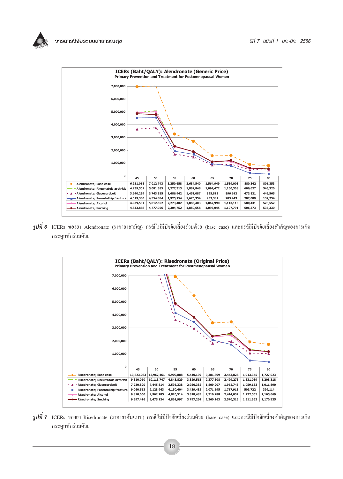



 $\,$ *รูปที่ 6* ICERs ของยา Alendronate (ราคายาสามัญ) กรณีไม่มีปัจจัยเสี่ยงร่วมด้วย (base case) และกรณีมีปัจจัยเสี่ยงสำคัญของการเกิด ึกระดูกหักร่วมด้วย



 $\,$  $\bar{j}$ ปที่  $\,$  <code>ICERs</code> ของยา Risedronate (ราคายาต้นแบบ) กรณีไม่มีปัจจัยเสี่ยงร่วมด้วย (base case) และกรณีมีปัจจัยเสี่ยงสำคัญของการเกิด ึกระด<sub>กหักร่</sub>วมด้วย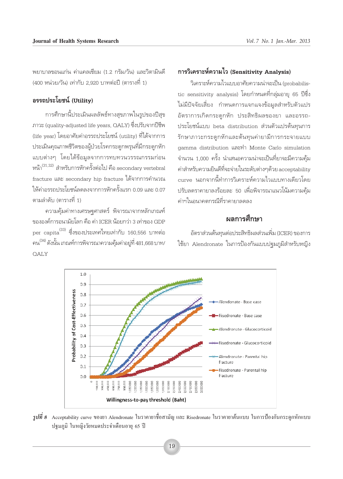พยาบาลขอนแก่น ค่าแคลเซียม (1.2 กรัม/วัน) และวิตามินดี (400 หน่วย/วัน) เท่ากับ 2.920 บาทต่อปี (ตารางที่ 1)

## อรรถประโยชน์ (Utility)

การศึกษานี้ประเมินผลลัพธ์ทางสุขภาพในรูปของปีสุข ภาวะ (quality-adjusted life years, OALY) ซึ่งปรับจากปีชีพ (life year) โดยอาศัยค่าอรรถประโยชน์ (utility) ที่ได้จากการ ประเมินคุณภาพชีวิตของผู้ป่วยโรคกระดูกพรุนที่มีกระดูกหัก แบบต่างๆ โดยได้ข้อมูลจากการทบทวนวรรณกรรมก่อน หน้า $^{(31,32)}$  สำหรับการหักครั้งต่อไป คือ secondary vertebral fracture และ secondary hip fracture ได้จากการคำนวณ ให้ค่าอรรถประโยชน์ลดลงจากการหักครั้งแรก 0.09 และ 0.07 ตามลำดับ (ตารางที่ 1)

้ความคุ้มค่าทางเศรษฐศาสตร์ พิจารณาจากหลักเกณฑ์ ขององค์การอนามัยโลก คือ ค่า ICER น้อยกว่า 3 เท่าของ GDP per capita ซึ่งของประเทศไทยเท่ากับ 160,556 บาทต่อ คน $^{(34)}$ ดังนั้น เกณฑ์การพิจารณาความคุ้มค่าอยู่ที่ 481,668 บาท/ **OALY** 

## การวิเคราะห์ความไว (Sensitivity Analysis)

วิเคราะห์ความไวแบบอาศัยความน่าจะเป็น (probabilistic sensitivity analysis) โดยกำหนดที่กลุ่มอายุ 65 ปีซึ่ง ไม่มีปัจจัยเลี้ยง กำหนดการแจกแจงข้อมูลสำหรับตัวแปร อัตราการเกิดกระดูกหัก ประสิทธิผลของยา และอรรถ-ประโยชน์แบบ beta distribution ส่วนตัวแปรต้นทุนการ รักษาภาวะกระดูกหักและต้นทุนค่ายามีการกระจายแบบ gamma distribution และทำ Monte Carlo simulation จำนวน 1.000 ครั้ง นำเสนอความน่าจะเป็นที่ยาจะมีความค้ม ค่าสำหรับความยินดีที่จะจ่ายในระดับต่างๆด้วย acceptability curve นอกจากนี้ทำการวิเคราะห์ความไวแบบทางเดียวโดย ปรับลดราคายาลงร้อยละ 50 เพื่อพิจารณาแนวโน้มความคุ้ม ค่าฯในอนาคตกรณีที่ราคายาลดลง

## ผลการศึกษา

้อัตราส่วนต้นทุนต่อประสิทธิผลส่วนเพิ่ม (ICER) ของการ ใช้ยา Alendronate ในการป้องกันแบบปฐมภูมิสำหรับหญิง



 $\,$ รูปที่ 8  $\,$  Acceptability curve ของยา Alendronate ในราคายาชื่อสามัญ และ Risedronate ในราคายาต้นแบบ ในการป้องกันกระดูกหักแบบ ปรมภมิ ในหญิงวัยหมดประจำเดือนอาย 65 ปี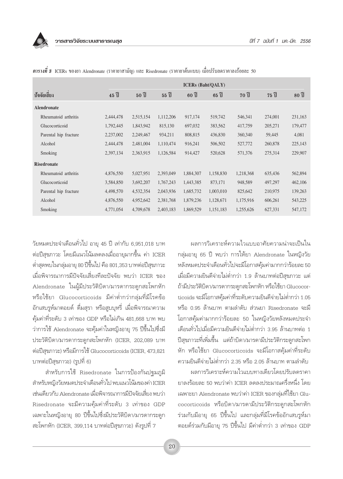|                       |                                         | <b>ICERs</b> (Baht/QALY) |                    |                    |                                          |                    |                    |                    |  |  |  |
|-----------------------|-----------------------------------------|--------------------------|--------------------|--------------------|------------------------------------------|--------------------|--------------------|--------------------|--|--|--|
| ปัจจัยเสียง           | $45$ <sup><math>\mathrm{d}</math></sup> | $50$ $\frac{2}{1}$       | $55$ $\frac{2}{1}$ | $60$ $\frac{2}{1}$ | $65$ <sup><math>\frac{4}{1}</math></sup> | $70$ $\frac{2}{1}$ | $75$ $\frac{2}{1}$ | $80$ $\frac{2}{1}$ |  |  |  |
| <b>Alendronate</b>    |                                         |                          |                    |                    |                                          |                    |                    |                    |  |  |  |
| Rheumatoid arthritis  | 2,444,478                               | 2,515,154                | 1,112,206          | 917,174            | 519,742                                  | 546,341            | 274,001            | 231,163            |  |  |  |
| Glucocorticoid        | 1,792,445                               | 1,843,942                | 815,130            | 697,032            | 383,562                                  | 417,759            | 205,271            | 179,477            |  |  |  |
| Parental hip fracture | 2,237,002                               | 2,249,467                | 934,211            | 808,815            | 436,830                                  | 360,340            | 59,445             | 4,081              |  |  |  |
| Alcohol               | 2,444,478                               | 2,481,004                | 1,110,474          | 916,241            | 506,502                                  | 527,772            | 260,878            | 225,143            |  |  |  |
| Smoking               | 2,397,134                               | 2,363,915                | 1,126,584          | 914,427            | 520,628                                  | 571,376            | 275,314            | 229,907            |  |  |  |
| <b>Risedronate</b>    |                                         |                          |                    |                    |                                          |                    |                    |                    |  |  |  |
| Rheumatoid arthritis  | 4,876,550                               | 5,027,951                | 2,393,049          | 1,884,307          | 1,158,830                                | 1,218,368          | 635,436            | 562,894            |  |  |  |
| Glucocorticoid        | 3,584,850                               | 3,692,207                | 1,767,243          | 1,443,385          | 873,171                                  | 948,589            | 497,297            | 462,106            |  |  |  |
| Parental hip fracture | 4,498,570                               | 4,532,354                | 2,043,936          | 1,685,732          | 1,003,010                                | 825,642            | 210,975            | 139,263            |  |  |  |
| Alcohol               | 4,876,550                               | 4,952,642                | 2,381,768          | 1,879,236          | 1,128,671                                | 1,175,916          | 606,261            | 543,225            |  |  |  |
| Smoking               | 4,771,054                               | 4,709,678                | 2,403,183          | 1,869,529          | 1,151,183                                | 1,255,626          | 627,331            | 547,172            |  |  |  |

 $\,$ ตารางที่ 3  $\,$  ICERs ของยา Alendronate (ราคายาสามัญ) และ Risedronate (ราคายาต้นแบบ) เมื่อปรับลคราคาลงร้อยละ 50

วัยหมดประจำเดือนทั่วไป อายุ 45 ปี เท่ากับ 6,951,018 บาท ต่อปีสุขภาวะ โดยมีแนวโน้มลดลงเมื่ออายุมากขึ้น ค่า ICER ต่ำสุดพบในกลุ่มอายุ 80 ปีขึ้นไป คือ 801,353 บาทต่อปีสุขภาวะ เมื่อพิจารณาการมีปัจจัยเสี่ยงทีละปัจจัย พบว่า ICER ของ Alendronate ในผู้มีประวัติบิดา/มารดากระดูกสะโพกหัก หรือใช้ยา Glucocorticoids มีค่าต่ำกว่ากลุ่มที่มีโรคข้อ ้อักเสบรูห์มาตอยด์ ดื่มสุรา หรือสูบบุหรี่ เมื่อพิจารณาความ ้คุ้มค่าที่ระดับ 3 เท่าของ GDP หรือไม่เกิน 481,668 บาท พบ ว่าการใช้ Alendronate จะคุ้มค่าในหญิงอายุ 75 ปีขึ้นไปซึ่งมี ประวัติบิดา/มารดากระดูกสะโพกหัก (ICER, 202,089 บาท ต่อปีสุขภาวะ) หรือมีการใช้ Glucocorticoids (ICER, 473,821 บาทต่อปีสุขภาวะ) (รูปที่ 6)

สำหรับการใช้ Risedronate ในการป้องกันปฐมภูมิ สำหรับหญิงวัยหมดประจำเดือนทั่วไป พบแนวโน้มของค่า ICER เช่นเดียวกับ Alendronate เมื่อพิจารณาการมีปัจจัยเสี่ยง พบว่า Risedronate จะมีความคุ้มค่าที่ระดับ 3 เท่าของ GDP ้เฉพาะในหญิงอายุ 80 ปีขึ้นไปซึ่งมีประวัติบิดา/มารดากระดูก สะโพกหัก (ICER, 399,114 บาทต่อปีสุขภาวะ) ดังรูปที่ 7

ผลการวิเคราะห์ความไวแบบอาศัยความน่าจะเป็นใน กลุ่มอายุ 65 ปี พบว่า การให้ยา Alendronate ในหญิงวัย หลังหมดประจำเดือนทั่วไปจะมีโอกาสคุ้มค่ามากกว่าร้อยละ 50 เมื่อมีความยินดีจ่ายไม่ต่ำกว่า 1.9 ล้านบาทต่อปีสุขภาวะ แต่ ถ้ามีประวัติบิดา/มารดากระดูกสะโพกหัก หรือใช้ยา Glucocorticoids จะมีโอกาสคุ้มค่าที่ระดับความยินดีจ่ายไม่ต่ำกว่า 1.05 หรือ 0.95 ล้านบาท ตามลำดับ ส่วนยา Risedronate จะมี่ โอกาสคุ้มค่ามากกว่าร้อยละ 50 ในหญิงวัยหลังหมดประจำ เดือนทั่วไปเมื่อมีความยินดีจ่ายไม่ต่ำกว่า 3.95 ล้านบาทต่อ 1 ปีสุขภาวะที่เพิ่มขึ้น แต่ถ้าบิดา/มารดามีประวัติกระดูกสะโพก หัก หรือใช้ยา Glucocorticoids จะมีโอกาสคุ้มค่าที่ระดับ ความยินดีจ่ายไม่ต่ำกว่า 2.35 หรือ 2.05 ล้านบาท ตามลำดับ

ผลการวิเคราะห์ความไวแบบทางเดียวโดยปรับลดราคา ยาลงร้อยละ 50 พบว่าค่า ICER ลดลงประมาณครึ่งหนึ่ง โดย เฉพาะยา Alendronate พบว่าค่า ICER ของกลุ่มที่ใช้ยา Glucocorticoids หรือบิดา/มารดามีประวัติกระดูกสะโพกหัก ร่วมกับมีอายุ 65 ปีขึ้นไป และกลุ่มที่มีโรคข้ออักเสบรูห์มา ตอยด์ร่วมกับมือายุ 75 ปีขึ้นไป มีค่าต่ำกว่า 3 เท่าของ GDP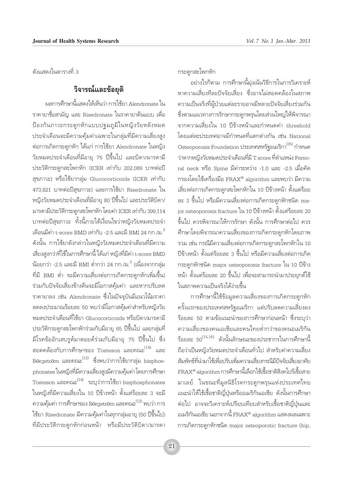ดังแสดงในตารางที่ 3

## วิจารณ์และข้อยุติ

ผลการศึกษานี้แสดงให้เห็นว่า การใช้ยา Alendronate ใน ราคายาชื่อสามัญ และ Risedronate ในราคายาต้นแบบ เพื่อ ป้องกันภาวะกระดูกหักแบบปฐมภูมิในหญิงวัยหลังหมด ประจำเดือนจะมีความคุ้มค่าเฉพาะในกลุ่มที่มีความเสี่ยงสูง ต่อการเกิดกระดูกหัก ได้แก่ การใช้ยา Alendronate ในหญิง วัยหมดประจำเดือนที่มีอายุ 75 ปีขึ้นไป และบิดา/มารดามี ประวัติกระดูกสะโพกหัก (ICER เท่ากับ 202,089 บาทต่อปี สุขภาวะ) หรือใช้ยากลุ่ม Glucocorticoids (ICER เท่ากับ 473,821 บาทต่อปีสุขภาวะ) และการใช้ยา Risedronate ใน หญิงวัยหมดประจำเดือนที่มีอายุ 80 ปีขึ้นไป และประวัติบิดา/ มารดามีประวัติกระดูกสะโพกหัก โดยค่า ICER เท่ากับ 399,114 บาทต่อปีสุขภาวะ ทั้งนี้ภายใต้เงื่อนไขว่าหญิงวัยหมดประจำ เดือนมีค่า t-score BMD เท่ากับ -2.5 และมี BMI 24 กก./ม $^2$ ดังนั้น การใช้ยาดังกล่าวในหญิงวัยหมดประจำเดือนที่มีความ เสี่ยงสงกว่าที่ใช้ในการศึกษานี้ ได้แก่ หญิงที่มีค่า t-score BMD ้น้อยกว่า -2.5 และมี BMI ต่ำกว่า 24 กก./ม.<sup>2</sup> (เนื่องจากกลุ่ม ที่มี BMI ต่ำ จะมีความเสี่ยงต่อการเกิดกระดูกหักเพิ่มขึ้น) ร่วมกับปัจจัยเสี่ยงข้างต้นจะมีโอกาสคุ้มค่า และหากปรับลด ราคายาลง เช่น Alendronate ซึ่งในปัจจุบันมีแนวโน้มราคา ลดลงประมาณร้อยละ 50 พบว่ามีโอกาสคุ้มค่าสำหรับหญิงวัย หมดประจำเดือนที่ใช้ยา Glucocorticoids หรือบิดา/มารดามี ประวัติกระดูกสะโพกหักร่วมกับมือายุ 65 ปีขึ้นไป และกลุ่มที่ ้มีโรคข้ออักเสบรูห์มาตอยด์ร่วมกับมีอายุ 75 ปีขึ้นไป ซึ่ง สอดคล้องกับการศึกษาของ Tosteson และคณะ $^{(14)}$  และ Börgström และคณะ $^{(12)}$  ซึ่งพบว่าการใช้ยากล่ม bisphosphonates ในหญิงที่มีความเสี่ยงสูงมีความคุ้มค่า โดยการศึกษา Tosteson และคณะ $^{(14)}$  ระบุว่าการใช้ยา bisphosphonates ในหญิงที่มีความเสี่ยงใน 10 ปีข้างหน้า ตั้งแต่ร้อยละ 3 จะมี ิ ความคุ้มค่า การศึกษาของ Börgström และคณะ<sup>(12)</sup> พบว่า การ ใช้ยา Risedronate มีความคุ้มค่าในทุกกลุ่มอายุ (50 ปีขึ้นไป) ที่มีประวัติกระดูกหักก่อนหน้า หรือมีประวัติบิดา/มารดา กระดกสะโพกหัก

้อย่างไรก็ตาม การศึกษานี้มุ่งเน้นวิธีการในการวิเคราะห์ หาความเสี่ยงทีละปัจจัยเสี่ยง ซึ่งอาจไม่สอดคล้องในสภาพ ความเป็นจริงที่ผู้ป่วยแต่ละรายอาจมีหลายปัจจัยเสี่ยงร่วมกัน ซึ่งตามแนวทางการรักษากระดูกพรุนโดยส่วนใหญ่ให้พิจารณา จากความเสี่ยงใน 10 ปีข้างหน้าและกำหนดค่า threshold โดยแต่ละประเทศอาจมีกำหนดที่แตกต่างกัน เช่น National Osteoporosis Foundation ประเทศสหรัฐอเมริกา $^{(35)}$  กำหนด ว่าหากหญิงวัยหมดประจำเดือนที่มี T score ที่ตำแหน่ง Femoral neck หรือ Spine มีค่าระหว่าง -1.0 และ -2.5 เมื่อคัด กรองโดยใช้เครื่องมือ FRAX® algorithm และพบว่า มีความ เสี่ยงต่อการเกิดกระดูกสะโพกหักใน 10 ปีข้างหน้า ตั้งแต่ร้อย ิละ 3 ขึ้นไป หรือมีความเสี่ยงต่อการเกิดกระดูกหักชนิด major osteoporosis fracture ใน 10 ปีข้างหน้า ตั้งแต่ร้อยละ 20 ขึ้นไป ควรพิจารณาให้การรักษา ดังนั้น การศึกษาต่อไป ควร ศึกษาโดยพิจารณาความเสี่ยงของการเกิดกระดูกหักโดยภาพ ้รวม เช่น กรณีมีความเสี่ยงต่อการเกิดกระดูกสะโพกหักใน 10 ปีข้างหน้า ตั้งแต่ร้อยละ 3 ขึ้นไป หรือมีความเสี่ยงต่อการเกิด กระดูกหักชนิด major osteoporosis fracture ใน 10 ปีข้าง หน้า ตั้งแต่ร้อยละ 20 ขึ้นไป เพื่อจะสามารถนำมาประยุกต์ใช้ ในสภาพความเป็นจริงได้ง่ายขึ้น

การศึกษานี้ใช้ข้อมูลความเสี่ยงของการเกิดกระดูกหัก ้ครั้งแรกของประเทศสหรัฐอเมริกา แต่ปรับลดความเสี่ยงลง ้ร้อยละ 50 ตามข้อแนะนำของการศึกษาก่อนหน้า ซึ่งระบุว่า ิความเสี่ยงของคนเอเชียและคนไทยต่ำกว่าของคนอเมริกัน ร้อยละ 50<sup>(15,16)</sup> ดังนั้นลักษณะของประชากรในการศึกษานี้ ถือว่าเป็นหญิงวัยหมดประจำเดือนทั่วไป สำหรับค่าความเสี่ยง สัมพัทธ์ที่นำมาใช้เพื่อปรับเพิ่มความเสี่ยงกรณีมีปัจจัยเสี่ยงอาศัย FRAX® algorithm การศึกษานี้เลือกใช้เชื้อชาติสิงคโปร์เชื้อสาย มาเลย์ ในขณะที่มูลนิธิโรคกระดูกพรุนแห่งประเทศไทย แนะนำให้ใช้เชื้อชาติญี่ปุ่นหรืออเมริกันเอเชีย ดังนั้นการศึกษา ต่อไป อาจจะวิเคราะห์เปรียบเทียบสำหรับเชื้อชาติญี่ปุ่นและ อเมริกันเอเชีย นอกจากนี้  $\text{FRAX}^{\circledast}$  algorithm แสดงผลเฉพาะ การเกิดกระดูกหักชนิด major osteoporotic fracture (hip,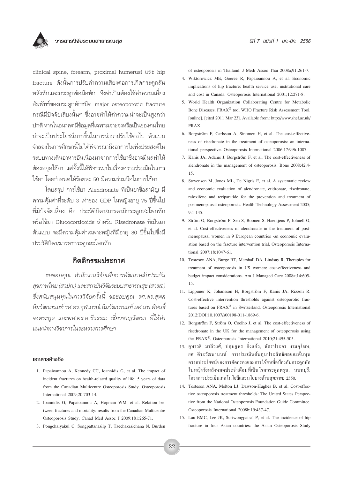clinical spine, forearm, proximal humerus) และ hip fracture ดังนั้นการปรับค่าความเสี่ยงต่อการเกิดกระดูกสัน หลังหักและกระดกข้อมือหัก จึงจำเป็นต้องใช้ค่าความเสี่ยง สัมพัทธ์ของกระดูกหักชนิด major osteoporotic fracture ึกรณีมีปัจจัยเสี่ยงนั้นๆ ซึ่งอาจทำให้ค่าความน่าจะเป็นสูงกว่า ึปกติ หากในอนาคตมีข้อมูลที่เฉพาะเจาะจงหรือเป็นของคนไทย าน่าจะเป็นประโยชน์มากขึ้นในการนำมาปรับใช้ต่อไป ตัวแบบ จำลองในการศึกษานี้ไม่ได้พิจารณาถึงอาการไม่พึงประสงค์ใน ้ระบบทางเดินอาหารอันเนื่องมาจากการใช้ยาซึ่งอาจมีผลทำให้ ์ต้องหยุดใช้ยา แต่ทั้งนี้ได้พิจารณาในเรื่องความร่วมมือในการ ใช้ยา โดยกำหนดให้ร้อยละ 50 มีความร่วมมือในการใช้ยา

โดยสรป การใช้ยา Alendronate ที่เป็นยาชื่อสามัณ มี ความคุ้มค่าที่ระดับ 3 เท่าของ GDP ในหญิงอายุ 75 ปีขึ้นไป ู้ที่มีปัจจัยเสี่ยง คือ ประวัติบิดา/มารดามีกระดกสะโพกหัก หรือใช้ยา Glucocorticoids สำหรับ Risedronate ที่เป็นยา ู้ต้นแบบ จะมีความคุ้มค่าเฉพาะหญิงที่มีอายุ 80 ปีขึ้นไปซึ่งมี ประวัติบิดา/มารดากระดูกสะโพกหัก

## กิตติกรรมประกาศ

*ุขอขอบคณ สำนักงานวิจัยเพื่อการพัฒนาหลักประกัน*  $\tilde{\kappa}$ ขภาพไทย (สวปก.) และสถาบันวิจัยระบบสาธารณสุข (สวรส.) ์ซึ่งสนับสนนทนในการวิจัยครั้งนี้ ขอขอบคณ รศ.ดร.สพล  $\widehat{s}$ มวัฒนานนท์ รศ.ดร.จุฬาภรณ์ ลิมวัฒนานนท์ ผศ.นพ.พิสนธิ์ จงตระกุล และผศ.ดร.อารีวรรณ เชี่ยวชาญวัฒนา ที่ให้คำ *·π–π"∑"ß«'™"°"√"π√–À«à"ß°"√»÷°…"*

#### **เอกสารอ้างอิง**

- 1. Papaioannou A, Kennedy CC, Ioannidis G, et al. The impact of incident fractures on health-related quality of life: 5 years of data from the Canadian Multicentre Osteoporosis Study. Osteoporosis International 2009;20:703-14.
- 2. Ioannidis G, Papaioannou A, Hopman WM, et al. Relation between fractures and mortality: results from the Canadian Multicentre Osteoporosis Study. Canad Med Assoc J 2009;181:265-71.
- 3. Pongchaiyakul C, Songpattanasilp T, Taechakraichana N. Burden

of osteoporosis in Thailand. J Medi Assoc Thai 2008a;91:261-7.

- 4. Wiktorowicz ME, Goeree R, Papaioannou A, et al. Economic implications of hip fracture: health service use, institutional care and cost in Canada. Osteoporosis International 2001;12:271-8.
- 5. World Health Organization Collaborating Centre for Metabolic Bone Diseases. FRAX® tool WHO Fracture Risk Assessment Tool. [online]. [cited 2011 Mar 23]. Available from: http://www.shef.ac.uk/ FRAX
- 6. Borgström F, Carlsson A, Sintonen H, et al. The cost-effectiveness of risedronate in the treatment of osteoporosis: an international perspective. Osteoporosis International 2006;17:996-1007.
- 7. Kanis JA, Adams J, Borgström F, et al. The cost-effectiveness of alendronate in the management of osteoporosis. Bone 2008;42:4- 15.
- 8. Stevenson M, Jones ML, De Nigris E, et al. A systematic review and economic evaluation of alendronate, etidronate, risedronate, raloxifene and teriparatide for the prevention and treatment of postmenopausal osteoporosis. Health Technology Assessment 2005; 9:1-145.
- 9. Ström O, Borgström F, Sen S, Boonen S, Haentjens P, Johnell O, et al. Cost-effectiveness of alendronate in the treatment of postmenopausal women in 9 European countries -an economic evaluation based on the fracture intervention trial. Osteoporosis International 2007;18:1047-61.
- 10. Tosteson ANA, Burge RT, Marshall DA, Lindsay R. Therapies for treatment of osteoporosis in US women: cost-effectiveness and budget impact considerations. Am J Managed Care 2008a;14:605- 15.
- 11. Lippuner K, Johansson H, Borgström F, Kanis JA, Rizzoli R. Cost-effective intervention thresholds against osteoporotic fractures based on FRAX® in Switzerland. Osteoporosis International 2012;DOI:10.1007/s00198-011-1869-6.
- 12. Borgström F, Ström O, Coelho J, et al. The cost-effectiveness of risedronate in the UK for the management of osteoporosis using the FRAX®. Osteoporosis International 2010;21:495-505.
- 13. อุษาวดี มาลีวงศ์, ปฤษฐพร กิ่งแก้ว, ฉัตรประอร งามอุโฆษ, ยศ คีระวัฒนานนท์, การประเมินต้นทนประสิทธิผลและต้นทน ือรรถประโยชน์ของการคัดกรองและการใช้ยาเพื่อป้องกันกระดูกหัก ในหญิงวัยหลังหมดประจำเดือนที่เป็นโรคกระดูกพรุน. นนทบุรี: โครงการประเมินเทคโนโยลีและนโยบายด้านสุขภาพ; 2550.
- 14. Tosteson ANA, Melton LJ, Dawson-Hughes B, et al. Cost-effective osteoporosis treatment thresholds: The United States Perspective from the National Osteoporosis Foundation Guide Committee. Osteoporosis International 2008b;19:437-47.
- 15. Lau EMC, Lee JK, Suriwongpaisal P, et al. The incidence of hip fracture in four Asian countries: the Asian Osteoporosis Study